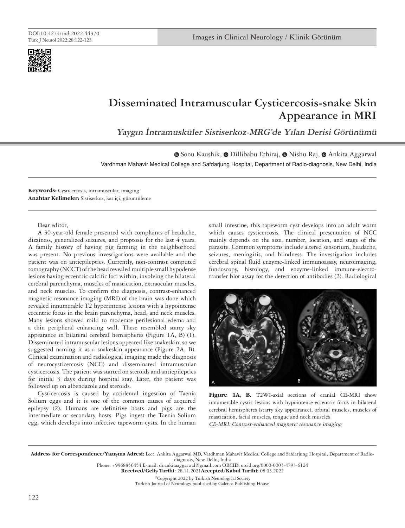

## **Disseminated Intramuscular Cysticercosis-snake Skin Appearance in MRI**

**Yaygın İntramusküler Sistiserkoz-MRG'de Yılan Derisi Görünümü**

Vardhman Mahavir Medical College and Safdarjung Hospital, Department of Radio-diagnosis, New Delhi, India  $\bullet$ Sonu Kaushik,  $\bullet$  Dillibabu Ethiraj,  $\bullet$  Nishu Raj,  $\bullet$  Ankita Aggarwal

**Keywords:** Cysticercosis, intramuscular, imaging **Anahtar Kelimeler:** Sistiserkoz, kas içi, görüntüleme

Dear editor,

A 30-year-old female presented with complaints of headache, dizziness, generalized seizures, and proptosis for the last 4 years. A family history of having pig farming in the neighborhood was present. No previous investigations were available and the patient was on antiepileptics. Currently, non-contrast computed tomography (NCCT) of the head revealed multiple small hypodense lesions having eccentric calcific foci within, involving the bilateral cerebral parenchyma, muscles of mastication, extraocular muscles, and neck muscles. To confirm the diagnosis, contrast-enhanced magnetic resonance imaging (MRI) of the brain was done which revealed innumerable T2 hyperintense lesions with a hypointense eccentric focus in the brain parenchyma, head, and neck muscles. Many lesions showed mild to moderate perilesional edema and a thin peripheral enhancing wall. These resembled starry sky appearance in bilateral cerebral hemispheres (Figure 1A, B) (1). Disseminated intramuscular lesions appeared like snakeskin, so we suggested naming it as a snakeskin appearance (Figure 2A, B). Clinical examination and radiological imaging made the diagnosis of neurocysticercosis (NCC) and disseminated intramuscular cysticercosis. The patient was started on steroids and antiepileptics for initial 3 days during hospital stay. Later, the patient was followed up on albendazole and steroids.

Cysticercosis is caused by accidental ingestion of Taenia Solium eggs and it is one of the common causes of acquired epilepsy (2). Humans are definitive hosts and pigs are the intermediate or secondary hosts. Pigs ingest the Taenia Solium egg, which develops into infective tapeworm cysts. In the human

small intestine, this tapeworm cyst develops into an adult worm which causes cysticercosis. The clinical presentation of NCC mainly depends on the size, number, location, and stage of the parasite. Common symptoms include altered sensorium, headache, seizures, meningitis, and blindness. The investigation includes cerebral spinal fluid enzyme-linked immunoassay, neuroimaging, fundoscopy, histology, and enzyme-linked immune-electrotransfer blot assay for the detection of antibodies (2). Radiological



**Figure 1A**, **B.** T2WI-axial sections of cranial CE-MRI show innumerable cystic lesions with hypointense eccentric focus in bilateral cerebral hemispheres (starry sky appearance), orbital muscles, muscles of mastication, facial muscles, tongue and neck muscles

CE-MRI: Contrast-enhanced magnetic resonance imaging

Address for Correspondence/Yazışma Adresi: Lect. Ankita Aggarwal MD, Vardhman Mahavir Medical College and Safdarjung Hospital, Department of Radiodiagnosis, New Delhi, India

Phone: +9968856454 E-mail: dr.ankitaaggarwal@gmail.com ORCID: orcid.org/0000-0003-4793-6124

Received/Geliş Tarihi: 28.11.2021Accepted/Kabul Tarihi: 08.03.2022

©Copyright 2022 by Turkish Neurological Society Turkish Journal of Neurology published by Galenos Publishing House.